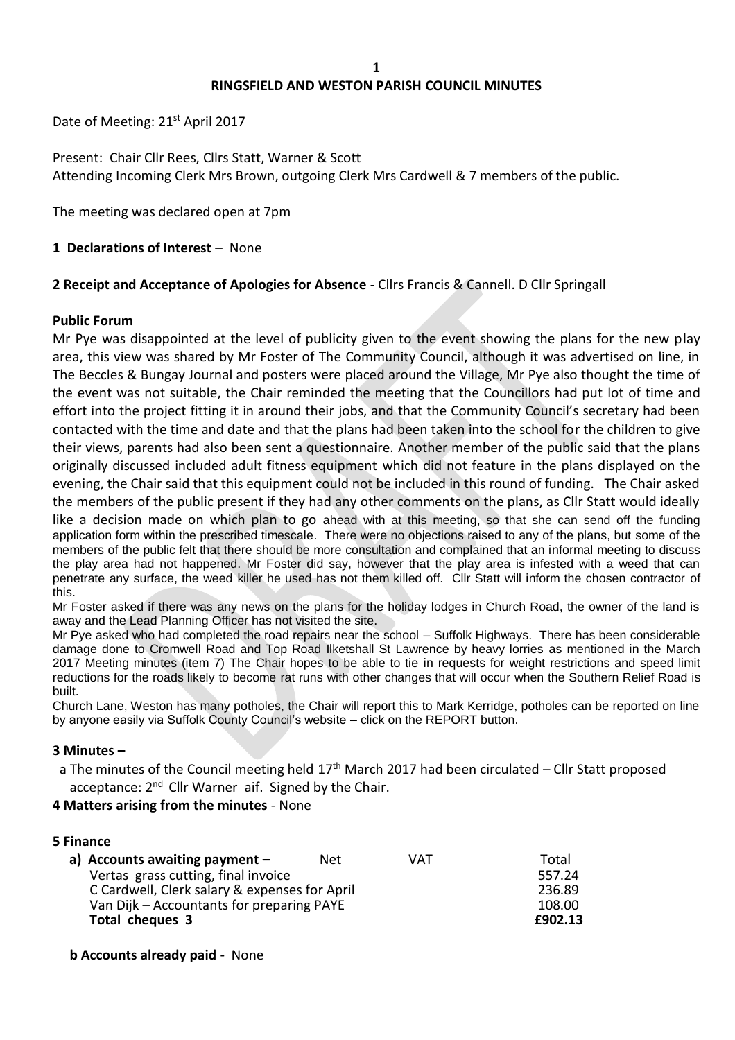# **RINGSFIELD AND WESTON PARISH COUNCIL MINUTES**

Date of Meeting: 21<sup>st</sup> April 2017

Present: Chair Cllr Rees, Cllrs Statt, Warner & Scott Attending Incoming Clerk Mrs Brown, outgoing Clerk Mrs Cardwell & 7 members of the public.

The meeting was declared open at 7pm

### **1 Declarations of Interest** – None

### **2 Receipt and Acceptance of Apologies for Absence** - Cllrs Francis & Cannell. D Cllr Springall

### **Public Forum**

Mr Pye was disappointed at the level of publicity given to the event showing the plans for the new play area, this view was shared by Mr Foster of The Community Council, although it was advertised on line, in The Beccles & Bungay Journal and posters were placed around the Village, Mr Pye also thought the time of the event was not suitable, the Chair reminded the meeting that the Councillors had put lot of time and effort into the project fitting it in around their jobs, and that the Community Council's secretary had been contacted with the time and date and that the plans had been taken into the school for the children to give their views, parents had also been sent a questionnaire. Another member of the public said that the plans originally discussed included adult fitness equipment which did not feature in the plans displayed on the evening, the Chair said that this equipment could not be included in this round of funding. The Chair asked the members of the public present if they had any other comments on the plans, as Cllr Statt would ideally like a decision made on which plan to go ahead with at this meeting, so that she can send off the funding application form within the prescribed timescale. There were no objections raised to any of the plans, but some of the members of the public felt that there should be more consultation and complained that an informal meeting to discuss the play area had not happened. Mr Foster did say, however that the play area is infested with a weed that can penetrate any surface, the weed killer he used has not them killed off. Cllr Statt will inform the chosen contractor of this.

Mr Foster asked if there was any news on the plans for the holiday lodges in Church Road, the owner of the land is away and the Lead Planning Officer has not visited the site.

Mr Pye asked who had completed the road repairs near the school – Suffolk Highways. There has been considerable damage done to Cromwell Road and Top Road Ilketshall St Lawrence by heavy lorries as mentioned in the March 2017 Meeting minutes (item 7) The Chair hopes to be able to tie in requests for weight restrictions and speed limit reductions for the roads likely to become rat runs with other changes that will occur when the Southern Relief Road is built.

Church Lane, Weston has many potholes, the Chair will report this to Mark Kerridge, potholes can be reported on line by anyone easily via Suffolk County Council's website – click on the REPORT button.

### **3 Minutes –**

a The minutes of the Council meeting held  $17<sup>th</sup>$  March 2017 had been circulated – Cllr Statt proposed acceptance: 2<sup>nd</sup> Cllr Warner aif. Signed by the Chair.

### **4 Matters arising from the minutes** - None

### **5 Finance**

| a) Accounts awaiting payment $-$              | Net. | VAT | Total   |
|-----------------------------------------------|------|-----|---------|
| Vertas grass cutting, final invoice           |      |     | 557.24  |
| C Cardwell, Clerk salary & expenses for April |      |     | 236.89  |
| Van Dijk - Accountants for preparing PAYE     |      |     | 108.00  |
| Total cheques 3                               |      |     | £902.13 |

### **b Accounts already paid** - None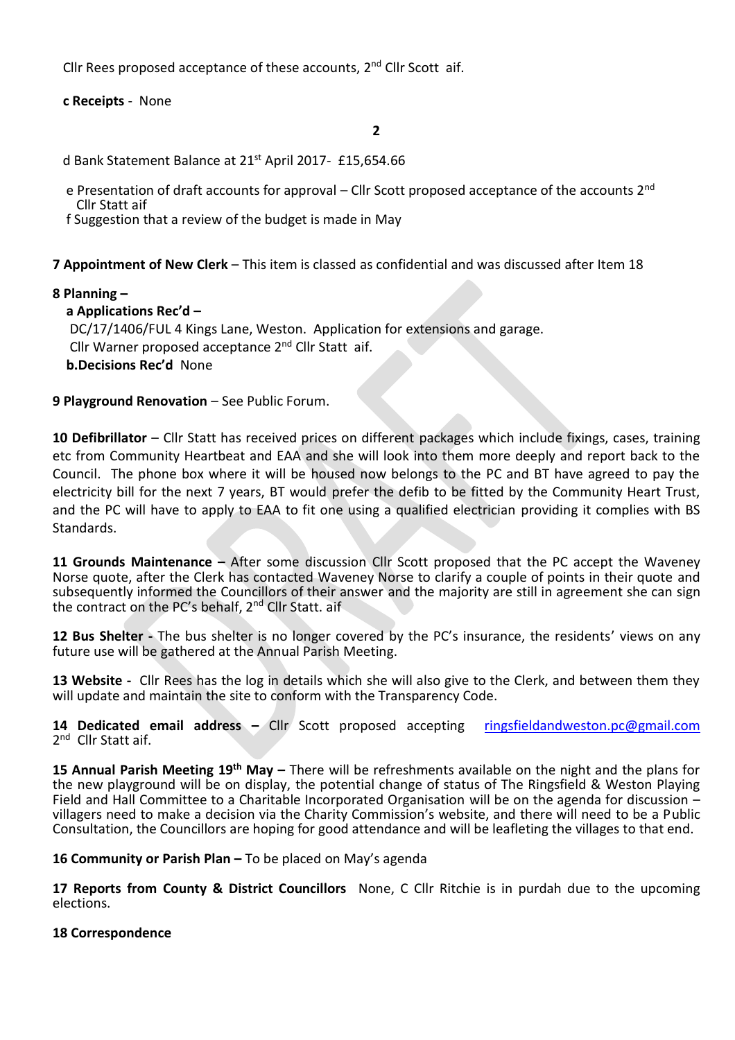Cllr Rees proposed acceptance of these accounts,  $2^{nd}$  Cllr Scott aif.

### **c Receipts** - None

## **2**

d Bank Statement Balance at 21st April 2017- £15,654.66

e Presentation of draft accounts for approval – Cllr Scott proposed acceptance of the accounts 2<sup>nd</sup> Cllr Statt aif

f Suggestion that a review of the budget is made in May

## **7 Appointment of New Clerk** – This item is classed as confidential and was discussed after Item 18

### **8 Planning –**

 **a Applications Rec'd –** DC/17/1406/FUL 4 Kings Lane, Weston. Application for extensions and garage. Cllr Warner proposed acceptance 2nd Cllr Statt aif. **b.Decisions Rec'd** None

### **9 Playground Renovation** – See Public Forum.

**10 Defibrillator** – Cllr Statt has received prices on different packages which include fixings, cases, training etc from Community Heartbeat and EAA and she will look into them more deeply and report back to the Council. The phone box where it will be housed now belongs to the PC and BT have agreed to pay the electricity bill for the next 7 years, BT would prefer the defib to be fitted by the Community Heart Trust, and the PC will have to apply to EAA to fit one using a qualified electrician providing it complies with BS Standards.

**11 Grounds Maintenance –** After some discussion Cllr Scott proposed that the PC accept the Waveney Norse quote, after the Clerk has contacted Waveney Norse to clarify a couple of points in their quote and subsequently informed the Councillors of their answer and the majority are still in agreement she can sign the contract on the PC's behalf, 2<sup>nd</sup> Cllr Statt, aif

**12 Bus Shelter -** The bus shelter is no longer covered by the PC's insurance, the residents' views on any future use will be gathered at the Annual Parish Meeting.

**13 Website -** Cllr Rees has the log in details which she will also give to the Clerk, and between them they will update and maintain the site to conform with the Transparency Code.

**14 Dedicated email address –** Cllr Scott proposed accepting [ringsfieldandweston.pc@gmail.com](mailto:ringsfieldandweston.pc@gmail.com)  2<sup>nd</sup> Cllr Statt aif.

**15 Annual Parish Meeting 19th May –** There will be refreshments available on the night and the plans for the new playground will be on display, the potential change of status of The Ringsfield & Weston Playing Field and Hall Committee to a Charitable Incorporated Organisation will be on the agenda for discussion – villagers need to make a decision via the Charity Commission's website, and there will need to be a Public Consultation, the Councillors are hoping for good attendance and will be leafleting the villages to that end.

**16 Community or Parish Plan –** To be placed on May's agenda

**17 Reports from County & District Councillors** None, C Cllr Ritchie is in purdah due to the upcoming elections.

### **18 Correspondence**